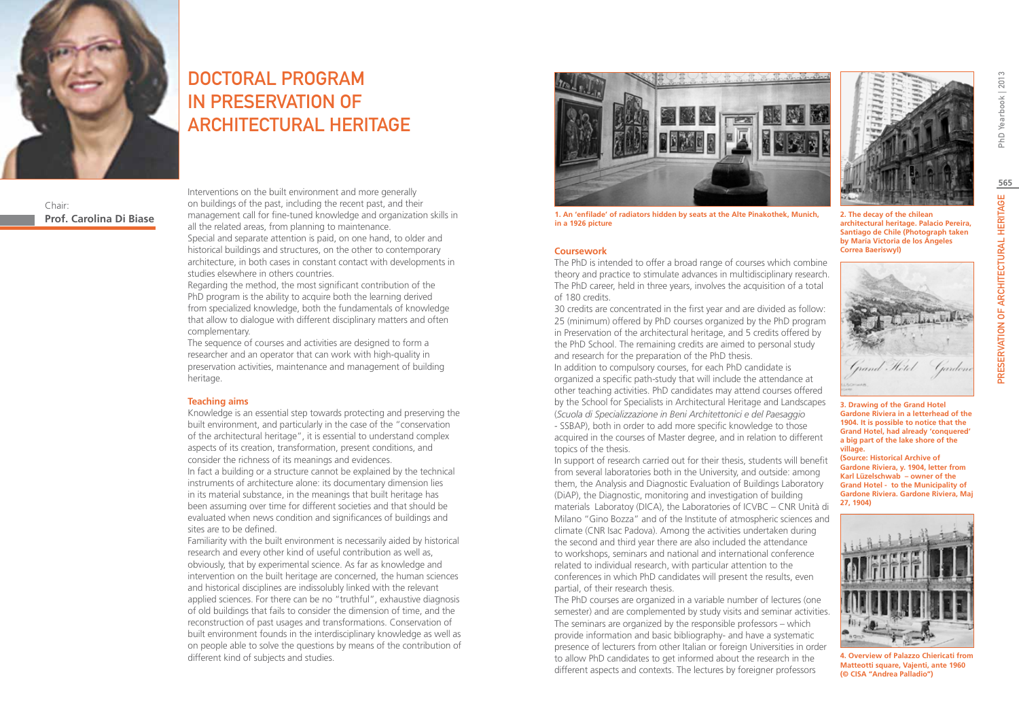

# DOCTORAL PROGRAM IN PRESERVATION OF ARCHITECTURAL HERITAGE

Chair: **Prof. Carolina Di Biase** Interventions on the built environment and more generally on buildings of the past, including the recent past, and their management call for fine-tuned knowledge and organization skills in all the related areas, from planning to maintenance. Special and separate attention is paid, on one hand, to older and

historical buildings and structures, on the other to contemporary architecture, in both cases in constant contact with developments in studies elsewhere in others countries.

Regarding the method, the most significant contribution of the PhD program is the ability to acquire both the learning derived from specialized knowledge, both the fundamentals of knowledge that allow to dialogue with different disciplinary matters and often complementary.

The sequence of courses and activities are designed to form a researcher and an operator that can work with high-quality in preservation activities, maintenance and management of building heritage.

#### **Teaching aims**

Knowledge is an essential step towards protecting and preserving the built environment, and particularly in the case of the "conservation of the architectural heritage", it is essential to understand complex aspects of its creation, transformation, present conditions, and consider the richness of its meanings and evidences. In fact a building or a structure cannot be explained by the technical instruments of architecture alone: its documentary dimension lies in its material substance, in the meanings that built heritage has been assuming over time for different societies and that should be

evaluated when news condition and significances of buildings and sites are to be defined.

Familiarity with the built environment is necessarily aided by historical research and every other kind of useful contribution as well as, obviously, that by experimental science. As far as knowledge and intervention on the built heritage are concerned, the human sciences and historical disciplines are indissolubly linked with the relevant applied sciences. For there can be no "truthful", exhaustive diagnosis of old buildings that fails to consider the dimension of time, and the reconstruction of past usages and transformations. Conservation of built environment founds in the interdisciplinary knowledge as well as on people able to solve the questions by means of the contribution of different kind of subjects and studies.



**1. An 'enfilade' of radiators hidden by seats at the Alte Pinakothek, Munich, in a 1926 picture**

#### **Coursework**

The PhD is intended to offer a broad range of courses which combine theory and practice to stimulate advances in multidisciplinary research. The PhD career, held in three years, involves the acquisition of a total of 180 credits.

30 credits are concentrated in the first year and are divided as follow: 25 (minimum) offered by PhD courses organized by the PhD program in Preservation of the architectural heritage, and 5 credits offered by the PhD School. The remaining credits are aimed to personal study and research for the preparation of the PhD thesis.

In addition to compulsory courses, for each PhD candidate is organized a specific path-study that will include the attendance at other teaching activities. PhD candidates may attend courses offered by the School for Specialists in Architectural Heritage and Landscapes (*Scuola di Specializzazione in Beni Architettonici e del Paesaggio*  - SSBAP), both in order to add more specific knowledge to those acquired in the courses of Master degree, and in relation to different topics of the thesis.

In support of research carried out for their thesis, students will benefit from several laboratories both in the University, and outside: among them, the Analysis and Diagnostic Evaluation of Buildings Laboratory (DiAP), the Diagnostic, monitoring and investigation of building materials Laboratoy (DICA), the Laboratories of ICVBC – CNR Unità di Milano "Gino Bozza" and of the Institute of atmospheric sciences and climate (CNR Isac Padova). Among the activities undertaken during the second and third year there are also included the attendance to workshops, seminars and national and international conference related to individual research, with particular attention to the conferences in which PhD candidates will present the results, even partial, of their research thesis.

The PhD courses are organized in a variable number of lectures (one semester) and are complemented by study visits and seminar activities. The seminars are organized by the responsible professors – which provide information and basic bibliography- and have a systematic presence of lecturers from other Italian or foreign Universities in order to allow PhD candidates to get informed about the research in the different aspects and contexts. The lectures by foreigner professors



**2. The decay of the chilean architectural heritage. Palacio Pereira, Santiago de Chile (Photograph taken by María Victoria de los Ángeles Correa Baeriswyl)**



**3. Drawing of the Grand Hotel Gardone Riviera in a letterhead of the 1904. It is possible to notice that the Grand Hotel, had already 'conquered' a big part of the lake shore of the village. (Source: Historical Archive of Gardone Riviera, y. 1904, letter from Karl Lüzelschwab – owner of the Grand Hotel - to the Municipality of Gardone Riviera. Gardone Riviera, Maj 27, 1904)**



**4. Overview of Palazzo Chiericati from Matteotti square, Vajenti, ante 1960 (© CISA "Andrea Palladio")**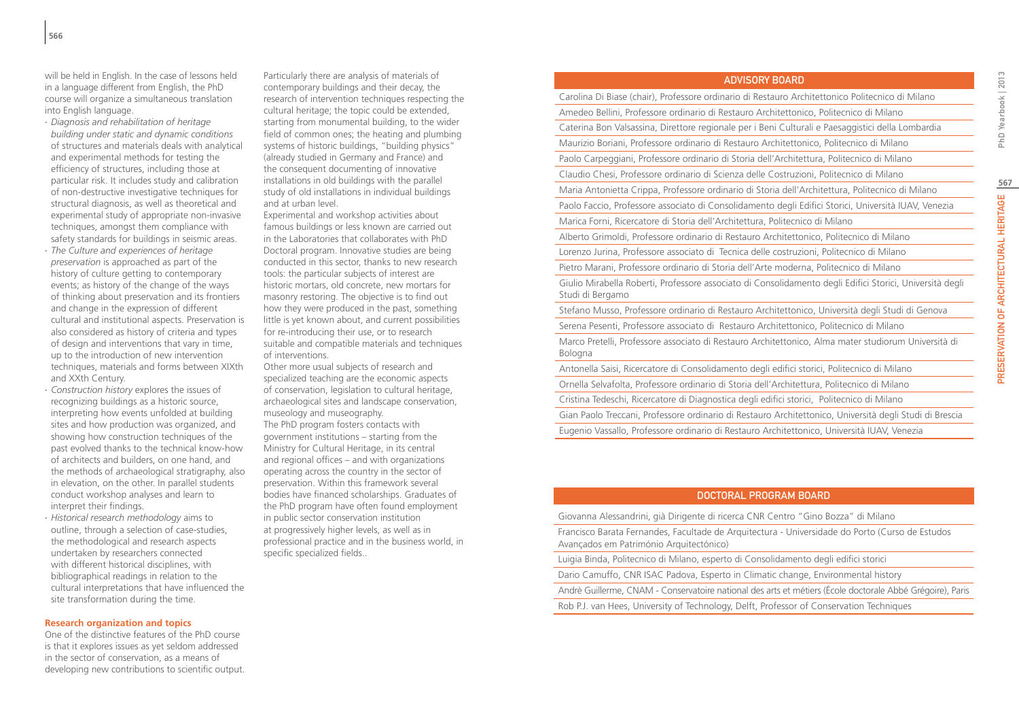will be held in English. In the case of lessons held in a language different from English, the PhD course will organize a simultaneous translation into English language.

- ∙ *Diagnosis and rehabilitation of heritage building under static and dynamic conditions*  of structures and materials deals with analytical and experimental methods for testing the efficiency of structures, including those at particular risk. It includes study and calibration of non-destructive investigative techniques for structural diagnosis, as well as theoretical and experimental study of appropriate non-invasive techniques, amongst them compliance with safety standards for buildings in seismic areas.
- ∙ *The Culture and experiences of heritage preservation* is approached as part of the history of culture getting to contemporary events; as history of the change of the ways of thinking about preservation and its frontiers and change in the expression of different cultural and institutional aspects. Preservation is also considered as history of criteria and types of design and interventions that vary in time, up to the introduction of new intervention techniques, materials and forms between XIXth and XXth Century.
- ∙ *Construction history* explores the issues of recognizing buildings as a historic source, interpreting how events unfolded at building sites and how production was organized, and showing how construction techniques of the past evolved thanks to the technical know-how of architects and builders, on one hand, and the methods of archaeological stratigraphy, also in elevation, on the other. In parallel students conduct workshop analyses and learn to interpret their findings.
- ∙ *Historical research methodology* aims to outline, through a selection of case-studies, the methodological and research aspects undertaken by researchers connected with different historical disciplines, with bibliographical readings in relation to the cultural interpretations that have influenced the site transformation during the time.

#### **Research organization and topics**

One of the distinctive features of the PhD course is that it explores issues as yet seldom addressed in the sector of conservation, as a means of developing new contributions to scientific output.

Particularly there are analysis of materials of contemporary buildings and their decay, the research of intervention techniques respecting the cultural heritage; the topic could be extended, starting from monumental building, to the wider field of common ones; the heating and plumbing systems of historic buildings, "building physics" (already studied in Germany and France) and the consequent documenting of innovative installations in old buildings with the parallel study of old installations in individual buildings and at urban level.

Experimental and workshop activities about famous buildings or less known are carried out in the Laboratories that collaborates with PhD Doctoral program. Innovative studies are being conducted in this sector, thanks to new research tools: the particular subjects of interest are historic mortars, old concrete, new mortars for masonry restoring. The objective is to find out how they were produced in the past, something little is yet known about, and current possibilities for re-introducing their use, or to research suitable and compatible materials and techniques of interventions.

Other more usual subjects of research and specialized teaching are the economic aspects of conservation, legislation to cultural heritage, archaeological sites and landscape conservation, museology and museography.

The PhD program fosters contacts with government institutions – starting from the Ministry for Cultural Heritage, in its central and regional offices – and with organizations operating across the country in the sector of preservation. Within this framework several bodies have financed scholarships. Graduates of the PhD program have often found employment in public sector conservation institution at progressively higher levels, as well as in professional practice and in the business world, in specific specialized fields..

| <b>ADVISORY BOARD</b> |  |
|-----------------------|--|
|                       |  |

Carolina Di Biase (chair), Professore ordinario di Restauro Architettonico Politecnico di Milano

Amedeo Bellini, Professore ordinario di Restauro Architettonico, Politecnico di Milano Caterina Bon Valsassina, Direttore regionale per i Beni Culturali e Paesaggistici della Lombardia

Maurizio Boriani, Professore ordinario di Restauro Architettonico, Politecnico di Milano

Paolo Carpeggiani, Professore ordinario di Storia dell'Architettura, Politecnico di Milano

Claudio Chesi, Professore ordinario di Scienza delle Costruzioni, Politecnico di Milano

Maria Antonietta Crippa, Professore ordinario di Storia dell'Architettura, Politecnico di Milano

Paolo Faccio, Professore associato di Consolidamento degli Edifici Storici, Università IUAV, Venezia

Marica Forni, Ricercatore di Storia dell'Architettura, Politecnico di Milano

Alberto Grimoldi, Professore ordinario di Restauro Architettonico, Politecnico di Milano

Lorenzo Jurina, Professore associato di Tecnica delle costruzioni, Politecnico di Milano

Pietro Marani, Professore ordinario di Storia dell'Arte moderna, Politecnico di Milano

Giulio Mirabella Roberti, Professore associato di Consolidamento degli Edifici Storici, Università degli Studi di Bergamo

Stefano Musso, Professore ordinario di Restauro Architettonico, Università degli Studi di Genova Serena Pesenti, Professore associato di Restauro Architettonico, Politecnico di Milano

Marco Pretelli, Professore associato di Restauro Architettonico, Alma mater studiorum Università di Bologna

Antonella Saisi, Ricercatore di Consolidamento degli edifici storici, Politecnico di Milano

Ornella Selvafolta, Professore ordinario di Storia dell'Architettura, Politecnico di Milano

Cristina Tedeschi, Ricercatore di Diagnostica degli edifici storici, Politecnico di Milano

Gian Paolo Treccani, Professore ordinario di Restauro Architettonico, Università degli Studi di Brescia

Eugenio Vassallo, Professore ordinario di Restauro Architettonico, Università IUAV, Venezia

## Doctoral Program Board

Giovanna Alessandrini, già Dirigente di ricerca CNR Centro "Gino Bozza" di Milano

Francisco Barata Fernandes, Facultade de Arquitectura - Universidade do Porto (Curso de Estudos Avançados em Património Arquitectónico)

Luigia Binda, Politecnico di Milano, esperto di Consolidamento degli edifici storici

Dario Camuffo, CNR ISAC Padova, Esperto in Climatic change, Environmental history

Andrè Guillerme, CNAM - Conservatoire national des arts et métiers (École doctorale Abbé Grégoire), Paris

Rob P.J. van Hees, University of Technology, Delft, Professor of Conservation Techniques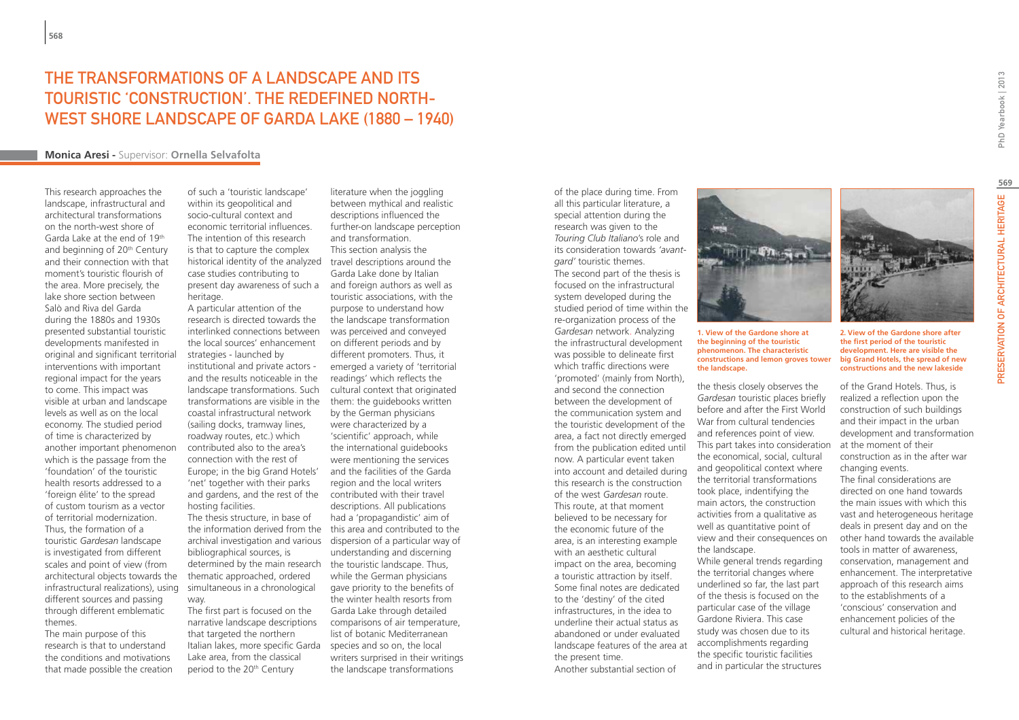## The Transformations of a Landscape and Its Touristic 'Construction'. The Redefined North-West Shore Landscape of Garda Lake (1880 – 1940)

## **Monica Aresi -** Supervisor: **Ornella Selvafolta**

This research approaches the landscape, infrastructural and architectural transformations on the north-west shore of Garda Lake at the end of 19th and beginning of 20<sup>th</sup> Century and their connection with that moment's touristic flourish of the area. More precisely, the lake shore section between Salò and Riva del Garda during the 1880s and 1930s presented substantial touristic developments manifested in original and significant territorial interventions with important regional impact for the years to come. This impact was visible at urban and landscape levels as well as on the local economy. The studied period of time is characterized by another important phenomenon which is the passage from the 'foundation' of the touristic health resorts addressed to a 'foreign élite' to the spread of custom tourism as a vector of territorial modernization. Thus, the formation of a touristic *Gardesan* landscape is investigated from different scales and point of view (from architectural objects towards the infrastructural realizations), using different sources and passing through different emblematic themes. The main purpose of this

research is that to understand the conditions and motivations that made possible the creation of such a 'touristic landscape' within its geopolitical and socio-cultural context and economic territorial influences. The intention of this research is that to capture the complex historical identity of the analyzed case studies contributing to present day awareness of such a and foreign authors as well as heritage.

A particular attention of the research is directed towards the interlinked connections between the local sources' enhancement strategies - launched by institutional and private actors and the results noticeable in the landscape transformations. Such transformations are visible in the coastal infrastructural network (sailing docks, tramway lines, roadway routes, etc.) which contributed also to the area's connection with the rest of Europe; in the big Grand Hotels' 'net' together with their parks and gardens, and the rest of the contributed with their travel hosting facilities.

The thesis structure, in base of the information derived from the this area and contributed to the archival investigation and various dispersion of a particular way of bibliographical sources, is determined by the main research the touristic landscape. Thus, thematic approached, ordered simultaneous in a chronological way.

The first part is focused on the narrative landscape descriptions that targeted the northern Italian lakes, more specific Garda species and so on, the local Lake area, from the classical period to the 20th Century

literature when the joggling between mythical and realistic descriptions influenced the further-on landscape perception and transformation. This section analysis the travel descriptions around the Garda Lake done by Italian touristic associations, with the purpose to understand how the landscape transformation was perceived and conveyed on different periods and by different promoters. Thus, it emerged a variety of 'territorial readings' which reflects the cultural context that originated them: the guidebooks written by the German physicians were characterized by a 'scientific' approach, while the international guidebooks were mentioning the services and the facilities of the Garda region and the local writers descriptions. All publications had a 'propagandistic' aim of understanding and discerning while the German physicians gave priority to the benefits of the winter health resorts from Garda Lake through detailed comparisons of air temperature, list of botanic Mediterranean writers surprised in their writings the landscape transformations

of the place during time. From all this particular literature, a special attention during the research was given to the *Touring Club Italiano*'s role and its consideration towards *'avantgard'* touristic themes. The second part of the thesis is focused on the infrastructural system developed during the studied period of time within the re-organization process of the *Gardesan* network. Analyzing the infrastructural development was possible to delineate first which traffic directions were 'promoted' (mainly from North), and second the connection between the development of the communication system and the touristic development of the area, a fact not directly emerged from the publication edited until now. A particular event taken into account and detailed during this research is the construction of the west *Gardesan* route. This route, at that moment believed to be necessary for the economic future of the area, is an interesting example with an aesthetic cultural impact on the area, becoming a touristic attraction by itself. Some final notes are dedicated to the 'destiny' of the cited infrastructures, in the idea to underline their actual status as abandoned or under evaluated landscape features of the area at the present time. Another substantial section of



**the beginning of the touristic phenomenon. The characteristic constructions and lemon groves tower the landscape.**

the thesis closely observes the *Gardesan* touristic places briefly before and after the First World War from cultural tendencies and references point of view. This part takes into consideration the economical, social, cultural and geopolitical context where the territorial transformations took place, indentifying the main actors, the construction activities from a qualitative as well as quantitative point of view and their consequences on the landscape. While general trends regarding the territorial changes where underlined so far, the last part of the thesis is focused on the particular case of the village Gardone Riviera. This case study was chosen due to its accomplishments regarding the specific touristic facilities and in particular the structures

of the Grand Hotels. Thus, is realized a reflection upon the construction of such buildings and their impact in the urban development and transformation at the moment of their construction as in the after war changing events. The final considerations are directed on one hand towards the main issues with which this vast and heterogeneous heritage deals in present day and on the other hand towards the available tools in matter of awareness, conservation, management and enhancement. The interpretative approach of this research aims to the establishments of a 'conscious' conservation and enhancement policies of the cultural and historical heritage.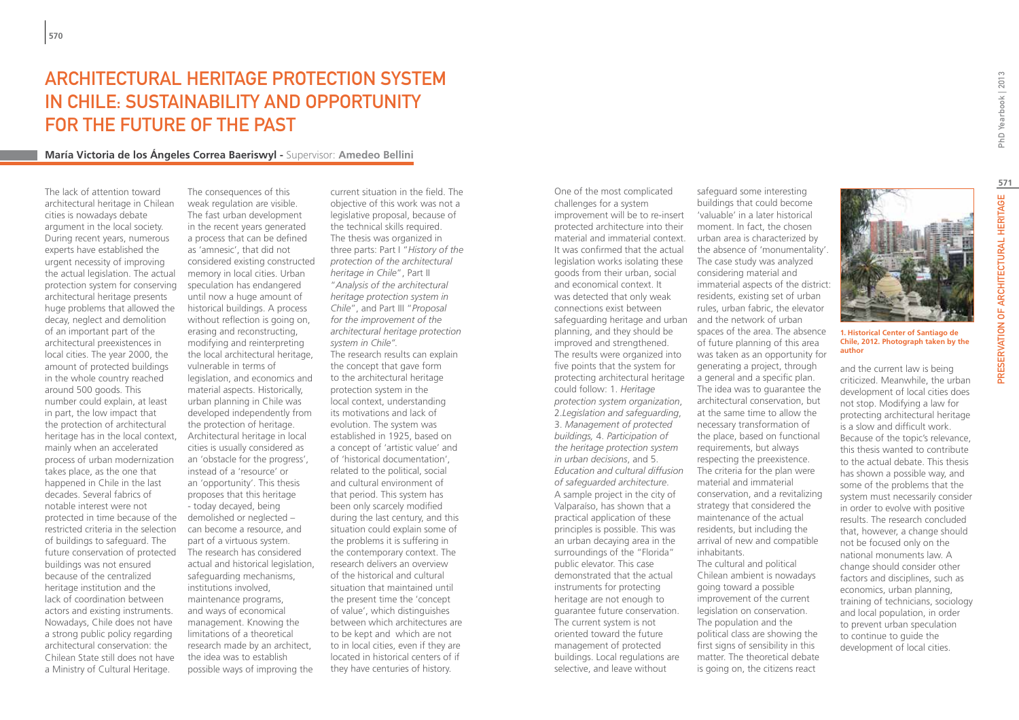# Architectural Heritage Protection System in Chile: Sustainability and Opportunity for the Future of the Past

## **María Victoria de los Ángeles Correa Baeriswyl -** Supervisor: **Amedeo Bellini**

The lack of attention toward architectural heritage in Chilean cities is nowadays debate argument in the local society. During recent years, numerous experts have established the urgent necessity of improving the actual legislation. The actual protection system for conserving architectural heritage presents huge problems that allowed the decay, neglect and demolition of an important part of the architectural preexistences in local cities. The year 2000, the amount of protected buildings in the whole country reached around 500 goods. This number could explain, at least in part, the low impact that the protection of architectural heritage has in the local context, mainly when an accelerated process of urban modernization takes place, as the one that happened in Chile in the last decades. Several fabrics of notable interest were not protected in time because of the restricted criteria in the selection of buildings to safeguard. The future conservation of protected The research has considered buildings was not ensured because of the centralized heritage institution and the lack of coordination between actors and existing instruments. Nowadays, Chile does not have a strong public policy regarding architectural conservation: the Chilean State still does not have a Ministry of Cultural Heritage.

The consequences of this weak regulation are visible. The fast urban development in the recent years generated a process that can be defined as 'amnesic', that did not considered existing constructed memory in local cities. Urban speculation has endangered until now a huge amount of historical buildings. A process without reflection is going on, erasing and reconstructing, modifying and reinterpreting the local architectural heritage, vulnerable in terms of legislation, and economics and material aspects. Historically, urban planning in Chile was developed independently from the protection of heritage. Architectural heritage in local cities is usually considered as an 'obstacle for the progress', instead of a 'resource' or an 'opportunity'. This thesis proposes that this heritage - today decayed, being demolished or neglected – can become a resource, and part of a virtuous system. actual and historical legislation, safeguarding mechanisms, institutions involved, maintenance programs, and ways of economical management. Knowing the limitations of a theoretical research made by an architect, the idea was to establish possible ways of improving the

current situation in the field. The objective of this work was not a legislative proposal, because of the technical skills required. The thesis was organized in three parts: Part I "*History of the protection of the architectural heritage in Chile*", Part II "*Analysis of the architectural heritage protection system in Chile*", and Part III "*Proposal for the improvement of the architectural heritage protection system in Chile".*  The research results can explain the concept that gave form to the architectural heritage protection system in the local context, understanding its motivations and lack of evolution. The system was established in 1925, based on a concept of 'artistic value' and of 'historical documentation', related to the political, social and cultural environment of that period. This system has been only scarcely modified during the last century, and this situation could explain some of the problems it is suffering in the contemporary context. The research delivers an overview of the historical and cultural situation that maintained until the present time the 'concept of value', which distinguishes between which architectures are to be kept and which are not to in local cities, even if they are located in historical centers of if they have centuries of history.

One of the most complicated challenges for a system improvement will be to re-insert protected architecture into their material and immaterial context. It was confirmed that the actual legislation works isolating these goods from their urban, social and economical context. It was detected that only weak connections exist between safeguarding heritage and urban and the network of urban planning, and they should be improved and strengthened. The results were organized into five points that the system for protecting architectural heritage a general and a specific plan. could follow: 1. *Heritage protection system organization*, 2.*Legislation and safeguarding*, 3. *Management of protected buildings,* 4. *Participation of the heritage protection system in urban decisions*, and 5. *Education and cultural diffusion of safeguarded architecture*. A sample project in the city of Valparaíso, has shown that a practical application of these principles is possible. This was an urban decaying area in the surroundings of the "Florida" public elevator. This case demonstrated that the actual instruments for protecting heritage are not enough to guarantee future conservation. The current system is not oriented toward the future management of protected buildings. Local regulations are selective, and leave without

safeguard some interesting buildings that could become 'valuable' in a later historical moment. In fact, the chosen urban area is characterized by the absence of 'monumentality'. The case study was analyzed considering material and immaterial aspects of the district: residents, existing set of urban rules, urban fabric, the elevator spaces of the area. The absence of future planning of this area was taken as an opportunity for generating a project, through The idea was to guarantee the architectural conservation, but at the same time to allow the necessary transformation of the place, based on functional requirements, but always respecting the preexistence. The criteria for the plan were material and immaterial conservation, and a revitalizing

strategy that considered the maintenance of the actual residents, but including the arrival of new and compatible inhabitants. The cultural and political Chilean ambient is nowadays

going toward a possible improvement of the current legislation on conservation. The population and the political class are showing the first signs of sensibility in this matter. The theoretical debate is going on, the citizens react

**1. Historical Center of Santiago de Chile, 2012. Photograph taken by the author**

and the current law is being criticized. Meanwhile, the urban development of local cities does not stop. Modifying a law for protecting architectural heritage is a slow and difficult work. Because of the topic's relevance, this thesis wanted to contribute to the actual debate. This thesis has shown a possible way, and some of the problems that the system must necessarily consider in order to evolve with positive results. The research concluded that, however, a change should not be focused only on the national monuments law. A change should consider other factors and disciplines, such as economics, urban planning, training of technicians, sociology and local population, in order to prevent urban speculation to continue to guide the development of local cities.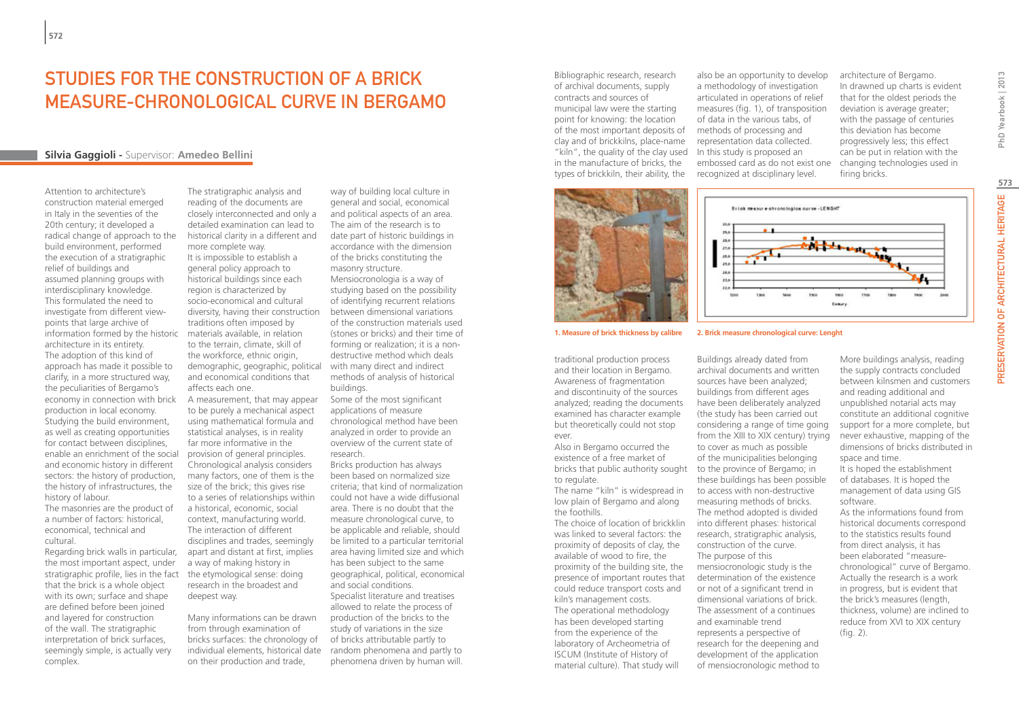# STUDIES FOR THE CONSTRUCTION OF A BRICK MEASURE-CHRONOLOGICAL CURVE IN BERGAMO

## **Silvia Gaggioli -** Supervisor: **Amedeo Bellini**

Attention to architecture's construction material emerged in Italy in the seventies of the 20th century; it developed a radical change of approach to the build environment, performed the execution of a stratigraphic relief of buildings and assumed planning groups with interdisciplinary knowledge. This formulated the need to investigate from different viewpoints that large archive of information formed by the historic architecture in its entirety. The adoption of this kind of approach has made it possible to clarify, in a more structured way, the peculiarities of Bergamo's production in local economy. Studying the build environment, as well as creating opportunities for contact between disciplines, enable an enrichment of the social and economic history in different sectors: the history of production, the history of infrastructures, the history of labour.

The masonries are the product of a number of factors: historical, economical, technical and cultural.

Regarding brick walls in particular, the most important aspect, under stratigraphic profile, lies in the fact that the brick is a whole object with its own; surface and shape are defined before been joined and layered for construction of the wall. The stratigraphic interpretation of brick surfaces, seemingly simple, is actually very complex.

The stratigraphic analysis and reading of the documents are closely interconnected and only a detailed examination can lead to historical clarity in a different and more complete way. It is impossible to establish a general policy approach to historical buildings since each region is characterized by socio-economical and cultural diversity, having their construction traditions often imposed by materials available, in relation to the terrain, climate, skill of the workforce, ethnic origin, demographic, geographic, political and economical conditions that affects each one.

economy in connection with brick A measurement, that may appear to be purely a mechanical aspect using mathematical formula and statistical analyses, is in reality far more informative in the provision of general principles. Chronological analysis considers many factors, one of them is the size of the brick; this gives rise to a series of relationships within a historical, economic, social context, manufacturing world. The interaction of different disciplines and trades, seemingly apart and distant at first, implies a way of making history in the etymological sense: doing research in the broadest and deepest way.

> Many informations can be drawn from through examination of bricks surfaces: the chronology of individual elements, historical date on their production and trade,

way of building local culture in general and social, economical and political aspects of an area. The aim of the research is to date part of historic buildings in accordance with the dimension of the bricks constituting the masonry structure.

Mensiocronologia is a way of studying based on the possibility of identifying recurrent relations between dimensional variations of the construction materials used (stones or bricks) and their time of forming or realization; it is a nondestructive method which deals with many direct and indirect methods of analysis of historical buildings.

Some of the most significant applications of measure chronological method have been analyzed in order to provide an overview of the current state of research.

Bricks production has always been based on normalized size criteria; that kind of normalization could not have a wide diffusional area. There is no doubt that the measure chronological curve, to be applicable and reliable, should be limited to a particular territorial area having limited size and which has been subject to the same geographical, political, economical and social conditions. Specialist literature and treatises allowed to relate the process of production of the bricks to the study of variations in the size of bricks attributable partly to random phenomena and partly to phenomena driven by human will.

Bibliographic research, research of archival documents, supply contracts and sources of municipal law were the starting point for knowing: the location of the most important deposits of clay and of brickkilns, place-name "kiln", the quality of the clay used in the manufacture of bricks, the types of brickkiln, their ability, the

also be an opportunity to develop a methodology of investigation articulated in operations of relief measures (fig. 1), of transposition of data in the various tabs, of methods of processing and representation data collected. In this study is proposed an embossed card as do not exist one recognized at disciplinary level.

architecture of Bergamo. In drawned up charts is evident that for the oldest periods the deviation is average greater; with the passage of centuries this deviation has become progressively less; this effect can be put in relation with the changing technologies used in firing bricks.



traditional production process and their location in Bergamo. Awareness of fragmentation and discontinuity of the sources analyzed; reading the documents examined has character example but theoretically could not stop ever.

Also in Bergamo occurred the existence of a free market of bricks that public authority sought to the province of Bergamo; in to regulate.

The name "kiln" is widespread in low plain of Bergamo and along the foothills.

The choice of location of brickklin was linked to several factors: the proximity of deposits of clay, the available of wood to fire, the proximity of the building site, the presence of important routes that could reduce transport costs and kiln's management costs. The operational methodology has been developed starting from the experience of the laboratory of Archeometria of ISCUM (Institute of History of material culture). That study will

#### **1. Measure of brick thickness by calibre 2. Brick measure chronological curve: Lenght**

Buildings already dated from archival documents and written sources have been analyzed; buildings from different ages have been deliberately analyzed (the study has been carried out considering a range of time going from the XIII to XIX century) trying to cover as much as possible of the municipalities belonging these buildings has been possible to access with non-destructive measuring methods of bricks. The method adopted is divided into different phases: historical research, stratigraphic analysis, construction of the curve. The purpose of this mensiocronologic study is the determination of the existence or not of a significant trend in dimensional variations of brick. The assessment of a continues and examinable trend represents a perspective of research for the deepening and development of the application of mensiocronologic method to

More buildings analysis, reading the supply contracts concluded between kilnsmen and customers and reading additional and unpublished notarial acts may constitute an additional cognitive support for a more complete, but never exhaustive, mapping of the dimensions of bricks distributed in space and time. It is hoped the establishment of databases. It is hoped the management of data using GIS software. As the informations found from historical documents correspond to the statistics results found from direct analysis, it has been elaborated "measurechronological" curve of Bergamo.

Actually the research is a work in progress, but is evident that the brick's measures (length, thickness, volume) are inclined to reduce from XVI to XIX century (fig. 2).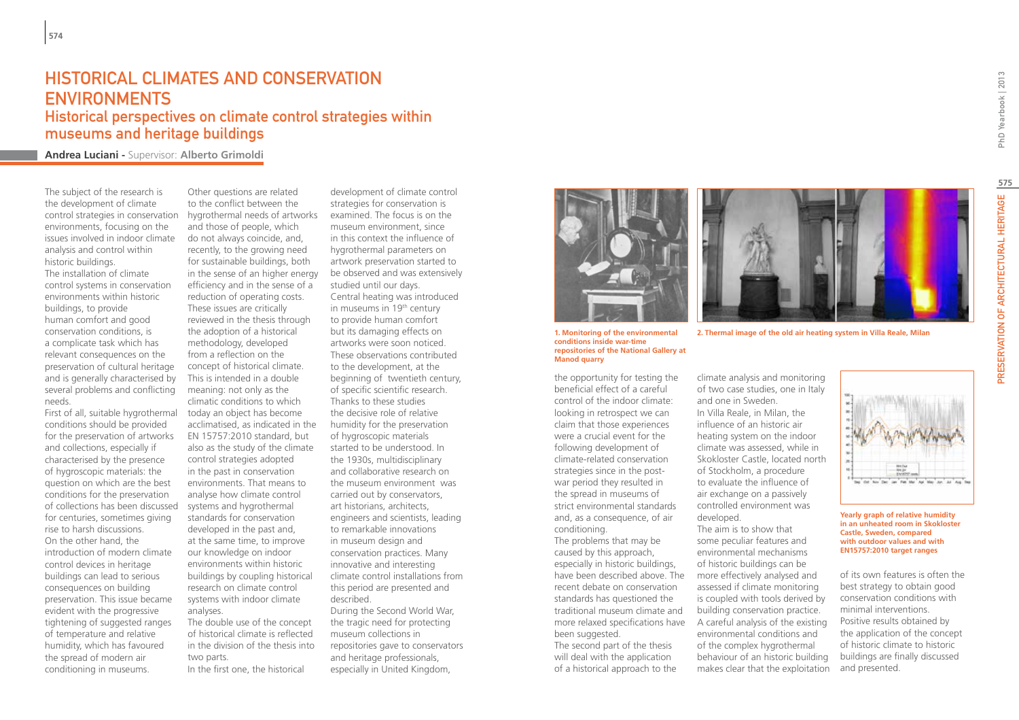## HISTORICAL CLIMATES AND CONSERVATION ENVIRONMENTS

Historical perspectives on climate control strategies within museums and heritage buildings

**Andrea Luciani -** Supervisor: **Alberto Grimoldi**

The subject of the research is the development of climate control strategies in conservation environments, focusing on the issues involved in indoor climate analysis and control within historic buildings. The installation of climate control systems in conservation environments within historic buildings, to provide human comfort and good conservation conditions, is a complicate task which has relevant consequences on the preservation of cultural heritage and is generally characterised by several problems and conflicting needs.

First of all, suitable hygrothermal conditions should be provided for the preservation of artworks and collections, especially if characterised by the presence of hygroscopic materials: the question on which are the best conditions for the preservation of collections has been discussed systems and hygrothermal for centuries, sometimes giving rise to harsh discussions. On the other hand, the introduction of modern climate control devices in heritage buildings can lead to serious consequences on building preservation. This issue became evident with the progressive tightening of suggested ranges of temperature and relative humidity, which has favoured the spread of modern air conditioning in museums.

Other questions are related to the conflict between the hygrothermal needs of artworks and those of people, which do not always coincide, and, recently, to the growing need for sustainable buildings, both in the sense of an higher energy efficiency and in the sense of a reduction of operating costs. These issues are critically reviewed in the thesis through the adoption of a historical methodology, developed from a reflection on the concept of historical climate. This is intended in a double meaning: not only as the climatic conditions to which today an object has become acclimatised, as indicated in the EN 15757:2010 standard, but also as the study of the climate control strategies adopted in the past in conservation environments. That means to analyse how climate control standards for conservation developed in the past and, at the same time, to improve our knowledge on indoor environments within historic buildings by coupling historical research on climate control systems with indoor climate analyses. The double use of the concept

of historical climate is reflected in the division of the thesis into two parts. In the first one, the historical

development of climate control strategies for conservation is examined. The focus is on the museum environment, since in this context the influence of hygrothermal parameters on artwork preservation started to be observed and was extensively studied until our days. Central heating was introduced in museums in 19<sup>th</sup> century to provide human comfort but its damaging effects on artworks were soon noticed. These observations contributed to the development, at the beginning of twentieth century, of specific scientific research. Thanks to these studies the decisive role of relative humidity for the preservation of hygroscopic materials started to be understood. In the 1930s, multidisciplinary and collaborative research on the museum environment was carried out by conservators, art historians, architects, engineers and scientists, leading to remarkable innovations in museum design and conservation practices. Many innovative and interesting climate control installations from this period are presented and described. During the Second World War, the tragic need for protecting

museum collections in repositories gave to conservators and heritage professionals, especially in United Kingdom,



**1. Monitoring of the environmental conditions inside war-time repositories of the National Gallery at Manod quarry**

the opportunity for testing the beneficial effect of a careful control of the indoor climate: looking in retrospect we can claim that those experiences were a crucial event for the following development of climate-related conservation strategies since in the postwar period they resulted in the spread in museums of strict environmental standards and, as a consequence, of air conditioning.

The problems that may be caused by this approach, especially in historic buildings, have been described above. The recent debate on conservation standards has questioned the traditional museum climate and been suggested.

The second part of the thesis will deal with the application of a historical approach to the

**2. Thermal image of the old air heating system in Villa Reale, Milan**

climate analysis and monitoring of two case studies, one in Italy and one in Sweden. In Villa Reale, in Milan, the influence of an historic air heating system on the indoor climate was assessed, while in Skokloster Castle, located north of Stockholm, a procedure to evaluate the influence of air exchange on a passively controlled environment was developed.

more relaxed specifications have A careful analysis of the existing The aim is to show that some peculiar features and environmental mechanisms of historic buildings can be more effectively analysed and assessed if climate monitoring is coupled with tools derived by building conservation practice. environmental conditions and of the complex hygrothermal behaviour of an historic building makes clear that the exploitation



#### **Yearly graph of relative humidity in an unheated room in Skokloster Castle, Sweden, compared with outdoor values and with EN15757:2010 target ranges**

of its own features is often the best strategy to obtain good conservation conditions with minimal interventions. Positive results obtained by the application of the concept of historic climate to historic buildings are finally discussed and presented.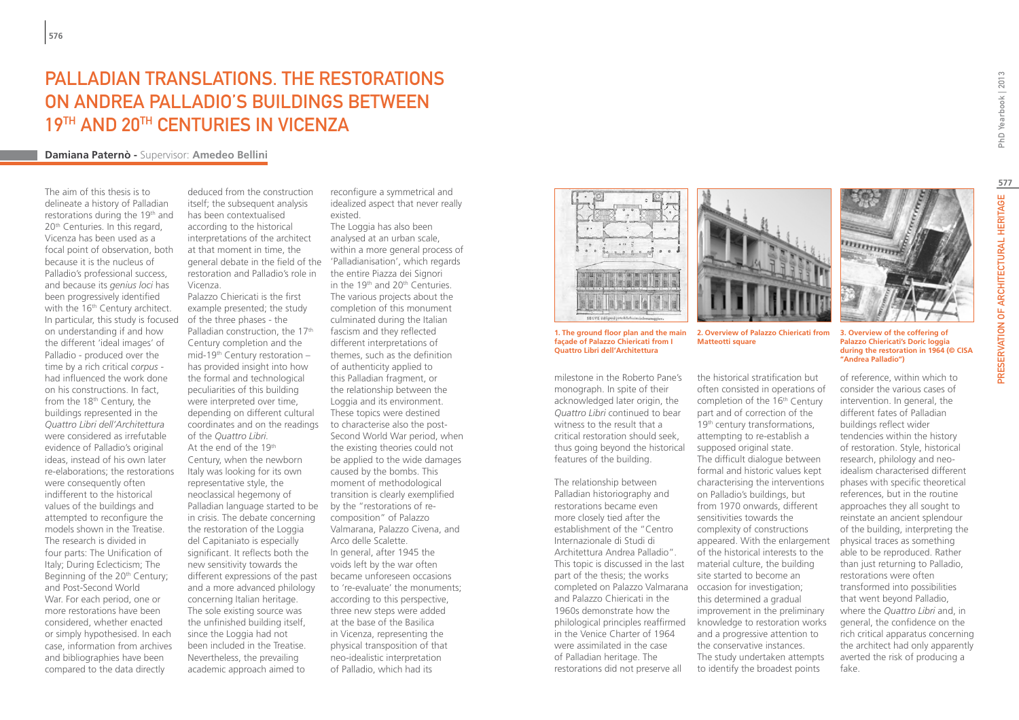# PALLADIAN TRANSLATIONS. THE RESTORATIONS. on Andrea Palladio's buildings between 19TH AND 20TH CENTURIES IN VICENZA

## **Damiana Paternò -** Supervisor: **Amedeo Bellini**

The aim of this thesis is to delineate a history of Palladian restorations during the 19<sup>th</sup> and 20<sup>th</sup> Centuries. In this regard, Vicenza has been used as a focal point of observation, both because it is the nucleus of Palladio's professional success, and because its *genius loci* has been progressively identified with the 16<sup>th</sup> Century architect. In particular, this study is focused on understanding if and how the different 'ideal images' of Palladio - produced over the time by a rich critical *corpus* had influenced the work done on his constructions. In fact, from the 18<sup>th</sup> Century, the buildings represented in the *Quattro Libri dell'Architettura* were considered as irrefutable evidence of Palladio's original ideas, instead of his own later re-elaborations; the restorations were consequently often indifferent to the historical values of the buildings and attempted to reconfigure the models shown in the Treatise. The research is divided in four parts: The Unification of Italy; During Eclecticism; The Beginning of the 20<sup>th</sup> Century; and Post-Second World War. For each period, one or more restorations have been considered, whether enacted or simply hypothesised. In each case, information from archives and bibliographies have been compared to the data directly

deduced from the construction itself; the subsequent analysis has been contextualised according to the historical interpretations of the architect at that moment in time, the general debate in the field of the 'Palladianisation', which regards restoration and Palladio's role in Vicenza.

Palazzo Chiericati is the first example presented; the study of the three phases - the Palladian construction, the  $17<sup>th</sup>$ Century completion and the mid-19th Century restoration – has provided insight into how the formal and technological peculiarities of this building were interpreted over time, depending on different cultural coordinates and on the readings of the *Quattro Libri.* At the end of the 19th Century, when the newborn Italy was looking for its own representative style, the neoclassical hegemony of Palladian language started to be in crisis. The debate concerning the restoration of the Loggia del Capitaniato is especially significant. It reflects both the new sensitivity towards the different expressions of the past and a more advanced philology concerning Italian heritage. The sole existing source was the unfinished building itself, since the Loggia had not been included in the Treatise. Nevertheless, the prevailing academic approach aimed to

reconfigure a symmetrical and idealized aspect that never really existed.

The Loggia has also been analysed at an urban scale, within a more general process of the entire Piazza dei Signori in the 19<sup>th</sup> and 20<sup>th</sup> Centuries. The various projects about the completion of this monument culminated during the Italian fascism and they reflected different interpretations of themes, such as the definition of authenticity applied to this Palladian fragment, or the relationship between the Loggia and its environment. These topics were destined to characterise also the post-Second World War period, when the existing theories could not be applied to the wide damages caused by the bombs. This moment of methodological transition is clearly exemplified by the "restorations of recomposition" of Palazzo Valmarana, Palazzo Civena, and Arco delle Scalette. In general, after 1945 the voids left by the war often became unforeseen occasions to 're-evaluate' the monuments; according to this perspective, three new steps were added at the base of the Basilica in Vicenza, representing the physical transposition of that neo-idealistic interpretation of Palladio, which had its



**1. The ground floor plan and the main façade of Palazzo Chiericati from I Quattro Libri dell'Architettura**

milestone in the Roberto Pane's monograph. In spite of their acknowledged later origin, the *Quattro Libri* continued to bear witness to the result that a critical restoration should seek, thus going beyond the historical features of the building.

The relationship between Palladian historiography and restorations became even more closely tied after the establishment of the "Centro Internazionale di Studi di Architettura Andrea Palladio". This topic is discussed in the last part of the thesis; the works completed on Palazzo Valmarana occasion for investigation; and Palazzo Chiericati in the 1960s demonstrate how the philological principles reaffirmed in the Venice Charter of 1964 were assimilated in the case of Palladian heritage. The restorations did not preserve all



the historical stratification but often consisted in operations of completion of the 16<sup>th</sup> Century part and of correction of the 19<sup>th</sup> century transformations, attempting to re-establish a supposed original state. The difficult dialogue between formal and historic values kept characterising the interventions on Palladio's buildings, but from 1970 onwards, different sensitivities towards the complexity of constructions appeared. With the enlargement of the historical interests to the material culture, the building site started to become an

**Matteotti square**

this determined a gradual improvement in the preliminary knowledge to restoration works and a progressive attention to the conservative instances. The study undertaken attempts to identify the broadest points

mumming

**3. Overview of the coffering of Palazzo Chiericati's Doric loggia during the restoration in 1964 (© CISA "Andrea Palladio")**

of reference, within which to consider the various cases of intervention. In general, the different fates of Palladian buildings reflect wider tendencies within the history of restoration. Style, historical research, philology and neoidealism characterised different phases with specific theoretical references, but in the routine approaches they all sought to reinstate an ancient splendour of the building, interpreting the physical traces as something able to be reproduced. Rather than just returning to Palladio, restorations were often transformed into possibilities that went beyond Palladio, where the *Quattro Libri* and, in general, the confidence on the rich critical apparatus concerning the architect had only apparently averted the risk of producing a fake.

PhD Yearbook | 2013